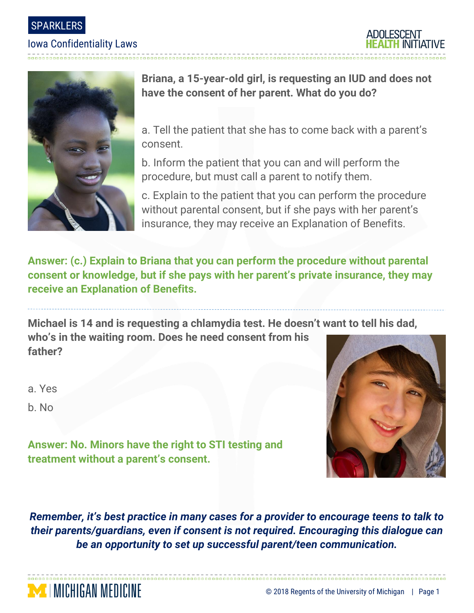SPARKLERS

## Iowa Confidentiality Laws

-------------------------





**Briana, a 15-year-old girl, is requesting an IUD and does not have the consent of her parent. What do you do?**

a. Tell the patient that she has to come back with a parent's consent.

b. Inform the patient that you can and will perform the procedure, but must call a parent to notify them.

c. Explain to the patient that you can perform the procedure without parental consent, but if she pays with her parent's insurance, they may receive an Explanation of Benefits.

**Answer: (c.) Explain to Briana that you can perform the procedure without parental consent or knowledge, but if she pays with her parent's private insurance, they may receive an Explanation of Benefits.**

**Michael is 14 and is requesting a chlamydia test. He doesn't want to tell his dad, who's in the waiting room. Does he need consent from his father?**

a. Yes

b. No



**Answer: No. Minors have the right to STI testing and treatment without a parent's consent.**

**I MICHIGAN MEDICINE** 

*Remember, it's best practice in many cases for a provider to encourage teens to talk to their parents/guardians, even if consent is not required. Encouraging this dialogue can be an opportunity to set up successful parent/teen communication.*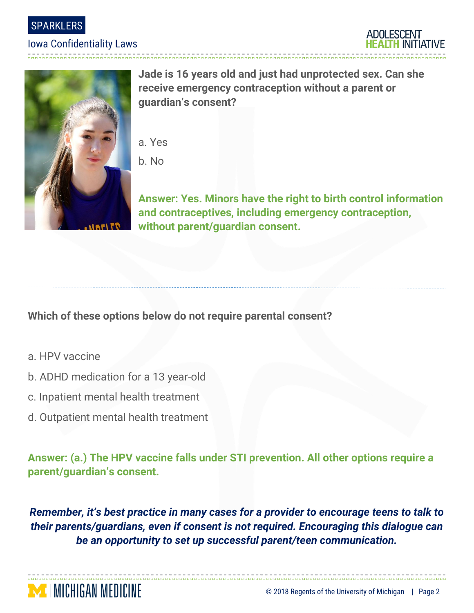

## Iowa Confidentiality Laws

-------------------------





**Jade is 16 years old and just had unprotected sex. Can she receive emergency contraception without a parent or guardian's consent?**

- a. Yes
- b. No

**Answer: Yes. Minors have the right to birth control information and contraceptives, including emergency contraception, without parent/guardian consent.**

**Which of these options below do not require parental consent?**

- a. HPV vaccine
- b. ADHD medication for a 13 year-old
- c. Inpatient mental health treatment

**MENICHIGAN MEDICINE** 

d. Outpatient mental health treatment

**Answer: (a.) The HPV vaccine falls under STI prevention. All other options require a parent/guardian's consent.**

*Remember, it's best practice in many cases for a provider to encourage teens to talk to their parents/guardians, even if consent is not required. Encouraging this dialogue can be an opportunity to set up successful parent/teen communication.*